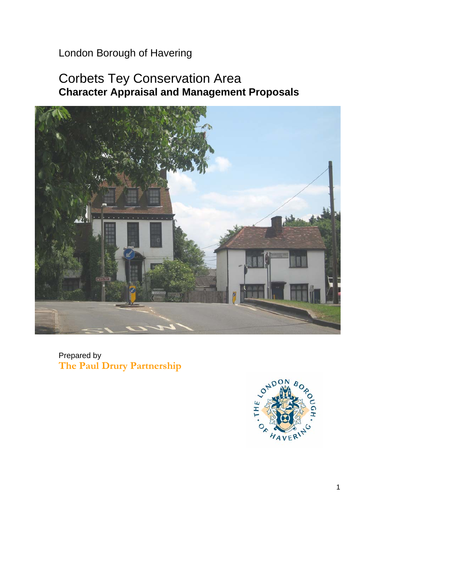London Borough of Havering

# Corbets Tey Conservation Area **Character Appraisal and Management Proposals**



Prepared by **The Paul Drury Partnership** 

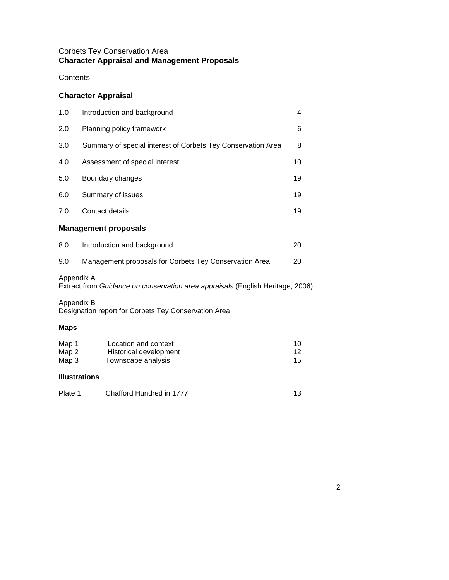### Corbets Tey Conservation Area **Character Appraisal and Management Proposals**

### **Contents**

## **Character Appraisal**

| 1.0                                                                                          | Introduction and background                                          |                |  |  |
|----------------------------------------------------------------------------------------------|----------------------------------------------------------------------|----------------|--|--|
| 2.0                                                                                          | Planning policy framework                                            |                |  |  |
| 3.0                                                                                          | Summary of special interest of Corbets Tey Conservation Area         |                |  |  |
| 4.0                                                                                          | Assessment of special interest                                       |                |  |  |
| 5.0                                                                                          | Boundary changes                                                     |                |  |  |
| 6.0                                                                                          | Summary of issues                                                    |                |  |  |
| 7.0                                                                                          | Contact details                                                      |                |  |  |
| <b>Management proposals</b>                                                                  |                                                                      |                |  |  |
| 8.0                                                                                          | Introduction and background<br>20                                    |                |  |  |
| 9.0                                                                                          | Management proposals for Corbets Tey Conservation Area<br>20         |                |  |  |
| Appendix A<br>Extract from Guidance on conservation area appraisals (English Heritage, 2006) |                                                                      |                |  |  |
| Appendix B                                                                                   | Designation report for Corbets Tey Conservation Area                 |                |  |  |
| <b>Maps</b>                                                                                  |                                                                      |                |  |  |
| Map 1<br>Map 2<br>Map 3                                                                      | Location and context<br>Historical development<br>Townscape analysis | 10<br>12<br>15 |  |  |

### **Illustrations**

| Plate 1 | Chafford Hundred in 1777 |  |
|---------|--------------------------|--|
|         |                          |  |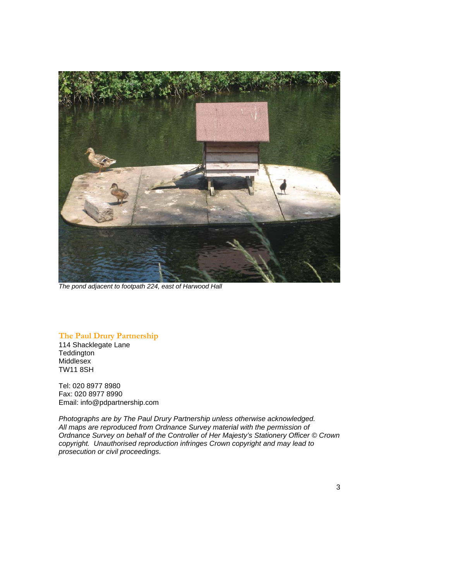

*The pond adjacent to footpath 224, east of Harwood Hall* 

### **The Paul Drury Partnership**

 114 Shacklegate Lane **Teddington**  Middlesex TW11 8SH

Tel: 020 8977 8980 Fax: 020 8977 8990 Email: [info@pdpartnership.com](mailto:info@pdpartnership.com) 

 *copyright. Unauthorised reproduction infringes Crown copyright and may lead to Photographs are by The Paul Drury Partnership unless otherwise acknowledged. All maps are reproduced from Ordnance Survey material with the permission of Ordnance Survey on behalf of the Controller of Her Majesty's Stationery Officer © Crown prosecution or civil proceedings.*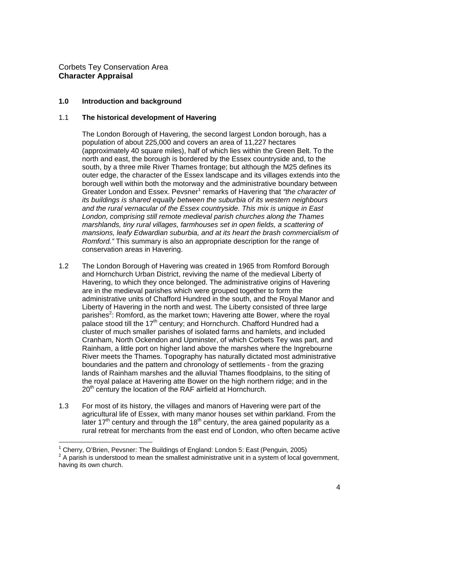Corbets Tey Conservation Area **Character Appraisal** 

l

#### **1.0 Introduction and background**

#### 1.1 **The historical development of Havering**

 (approximately 40 square miles), half of which lies within the Green Belt. To the south, by a three mile River Thames frontage; but although the M25 defines its borough well within both the motorway and the administrative boundary between Greater London and Essex. Pevsner<sup>1</sup> remarks of Havering that "the character of The London Borough of Havering, the second largest London borough, has a population of about 225,000 and covers an area of 11,227 hectares north and east, the borough is bordered by the Essex countryside and, to the outer edge, the character of the Essex landscape and its villages extends into the *its buildings is shared equally between the suburbia of its western neighbours and the rural vernacular of the Essex countryside. This mix is unique in East London, comprising still remote medieval parish churches along the Thames marshlands, tiny rural villages, farmhouses set in open fields, a scattering of mansions, leafy Edwardian suburbia, and at its heart the brash commercialism of Romford."* This summary is also an appropriate description for the range of conservation areas in Havering.

- and Hornchurch Urban District, reviving the name of the medieval Liberty of Havering, to which they once belonged. The administrative origins of Havering administrative units of Chafford Hundred in the south, and the Royal Manor and Liberty of Havering in the north and west. The Liberty consisted of three large parishes<sup>2</sup>: Romford, as the market town; Havering atte Bower, where the royal boundaries and the pattern and chronology of settlements - from the grazing lands of Rainham marshes and the alluvial Thames floodplains, to the siting of the royal palace at Havering atte Bower on the high northern ridge; and in the 1.2 The London Borough of Havering was created in 1965 from Romford Borough are in the medieval parishes which were grouped together to form the palace stood till the 17<sup>th</sup> century; and Hornchurch. Chafford Hundred had a cluster of much smaller parishes of isolated farms and hamlets, and included Cranham, North Ockendon and Upminster, of which Corbets Tey was part, and Rainham, a little port on higher land above the marshes where the Ingrebourne River meets the Thames. Topography has naturally dictated most administrative  $20<sup>th</sup>$  century the location of the RAF airfield at Hornchurch.
- 1.3 For most of its history, the villages and manors of Havering were part of the later 17<sup>th</sup> century and through the 18<sup>th</sup> century, the area gained popularity as a agricultural life of Essex, with many manor houses set within parkland. From the rural retreat for merchants from the east end of London, who often became active

<sup>&</sup>lt;sup>1</sup> Cherry, O'Brien, Pevsner: The Buildings of England: London 5: East (Penguin, 2005)  $2$  A parish is understood to mean the smallest administrative unit in a system of local government, having its own church.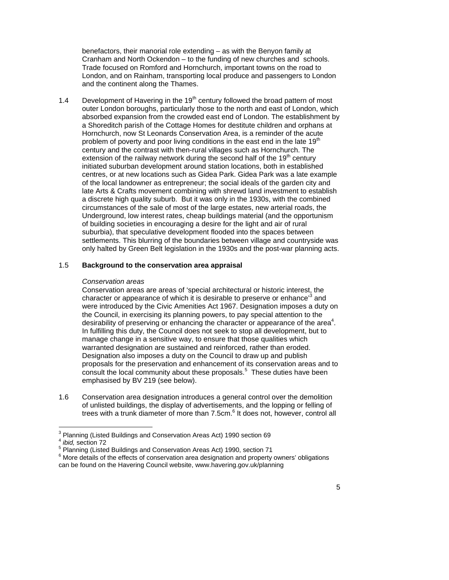benefactors, their manorial role extending – as with the Benyon family at Trade focused on Romford and Hornchurch, important towns on the road to Cranham and North Ockendon – to the funding of new churches and schools. London, and on Rainham, transporting local produce and passengers to London and the continent along the Thames.

 absorbed expansion from the crowded east end of London. The establishment by a Shoreditch parish of the Cottage Homes for destitute children and orphans at centres, or at new locations such as Gidea Park. Gidea Park was a late example of the local landowner as entrepreneur; the social ideals of the garden city and late Arts & Crafts movement combining with shrewd land investment to establish a discrete high quality suburb. But it was only in the 1930s, with the combined circumstances of the sale of most of the large estates, new arterial roads, the Underground, low interest rates, cheap buildings material (and the opportunism suburbia), that speculative development flooded into the spaces between 1.4 Development of Havering in the  $19<sup>th</sup>$  century followed the broad pattern of most outer London boroughs, particularly those to the north and east of London, which Hornchurch, now St Leonards Conservation Area, is a reminder of the acute problem of poverty and poor living conditions in the east end in the late  $19<sup>th</sup>$ century and the contrast with then-rural villages such as Hornchurch. The extension of the railway network during the second half of the  $19<sup>th</sup>$  century initiated suburban development around station locations, both in established of building societies in encouraging a desire for the light and air of rural settlements. This blurring of the boundaries between village and countryside was only halted by Green Belt legislation in the 1930s and the post-war planning acts.

#### 1.5 **Background to the conservation area appraisal**

#### *Conservation areas*

 were introduced by the Civic Amenities Act 1967. Designation imposes a duty on the Council, in exercising its planning powers, to pay special attention to the Conservation areas are areas of 'special architectural or historic interest, the character or appearance of which it is desirable to preserve or enhance<sup>3</sup> and desirability of preserving or enhancing the character or appearance of the area<sup>4</sup>. In fulfilling this duty, the Council does not seek to stop all development, but to manage change in a sensitive way, to ensure that those qualities which warranted designation are sustained and reinforced, rather than eroded. Designation also imposes a duty on the Council to draw up and publish proposals for the preservation and enhancement of its conservation areas and to consult the local community about these proposals.<sup>5</sup> These duties have been emphasised by BV 219 (see below).

1.6 Conservation area designation introduces a general control over the demolition of unlisted buildings, the display of advertisements, and the lopping or felling of trees with a trunk diameter of more than 7.5cm.<sup>6</sup> It does not, however, control all

 3 Planning (Listed Buildings and Conservation Areas Act) 1990 section 69

<sup>&</sup>lt;sup>4</sup> ibid, section 72

<sup>&</sup>lt;sup>5</sup> Planning (Listed Buildings and Conservation Areas Act) 1990, section 71

<sup>&</sup>lt;sup>6</sup> More details of the effects of conservation area designation and property owners' obligations can be found on the Havering Council website, www.havering.gov.uk/planning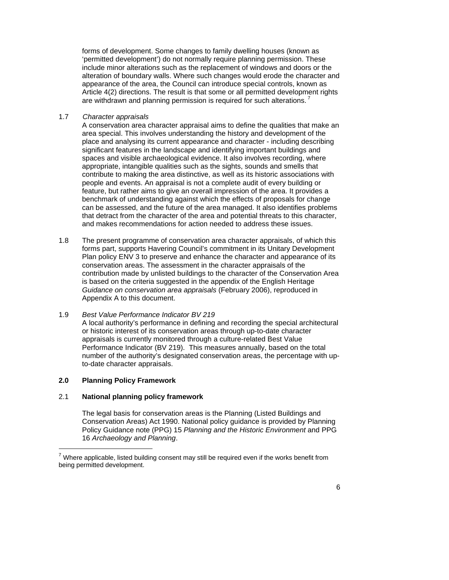forms of development. Some changes to family dwelling houses (known as are withdrawn and planning permission is required for such alterations.<sup>7</sup> 'permitted development') do not normally require planning permission. These include minor alterations such as the replacement of windows and doors or the alteration of boundary walls. Where such changes would erode the character and appearance of the area, the Council can introduce special controls, known as Article 4(2) directions. The result is that some or all permitted development rights

1.7 *Character appraisals* 

 contribute to making the area distinctive, as well as its historic associations with people and events. An appraisal is not a complete audit of every building or feature, but rather aims to give an overall impression of the area. It provides a that detract from the character of the area and potential threats to this character, A conservation area character appraisal aims to define the qualities that make an area special. This involves understanding the history and development of the place and analysing its current appearance and character - including describing significant features in the landscape and identifying important buildings and spaces and visible archaeological evidence. It also involves recording, where appropriate, intangible qualities such as the sights, sounds and smells that benchmark of understanding against which the effects of proposals for change can be assessed, and the future of the area managed. It also identifies problems and makes recommendations for action needed to address these issues.

 1.8 The present programme of conservation area character appraisals, of which this is based on the criteria suggested in the appendix of the English Heritage forms part, supports Havering Council's commitment in its Unitary Development Plan policy ENV 3 to preserve and enhance the character and appearance of its conservation areas. The assessment in the character appraisals of the contribution made by unlisted buildings to the character of the Conservation Area *Guidance on conservation area appraisals* (February 2006), reproduced in Appendix A to this document.

#### 1.9 *Best Value Performance Indicator BV 219*

 A local authority's performance in defining and recording the special architectural Performance Indicator (BV 219). This measures annually, based on the total or historic interest of its conservation areas through up-to-date character appraisals is currently monitored through a culture-related Best Value number of the authority's designated conservation areas, the percentage with upto-date character appraisals.

### **2.0 Planning Policy Framework**

 $\overline{a}$ 

### 2.1 **National planning policy framework**

 The legal basis for conservation areas is the Planning (Listed Buildings and Conservation Areas) Act 1990. National policy guidance is provided by Planning Policy Guidance note (PPG) 15 *Planning and the Historic Environment* and PPG 16 *Archaeology and Planning*.

 $7$  Where applicable, listed building consent may still be required even if the works benefit from being permitted development.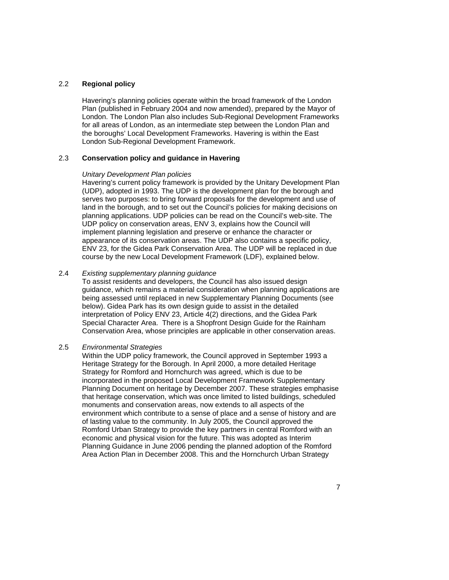#### 2.2 **Regional policy**

 Havering's planning policies operate within the broad framework of the London London. The London Plan also includes Sub-Regional Development Frameworks for all areas of London, as an intermediate step between the London Plan and Plan (published in February 2004 and now amended), prepared by the Mayor of the boroughs' Local Development Frameworks. Havering is within the East London Sub-Regional Development Framework.

#### 2.3 **Conservation policy and guidance in Havering**

#### *Unitary Development Plan policies*

 Havering's current policy framework is provided by the Unitary Development Plan UDP policy on conservation areas, ENV 3, explains how the Council will (UDP), adopted in 1993. The UDP is the development plan for the borough and serves two purposes: to bring forward proposals for the development and use of land in the borough, and to set out the Council's policies for making decisions on planning applications. UDP policies can be read on the Council's web-site. The implement planning legislation and preserve or enhance the character or appearance of its conservation areas. The UDP also contains a specific policy, ENV 23, for the Gidea Park Conservation Area. The UDP will be replaced in due course by the new Local Development Framework (LDF), explained below.

#### 2.4 *Existing supplementary planning guidance*

 guidance, which remains a material consideration when planning applications are being assessed until replaced in new Supplementary Planning Documents (see below). Gidea Park has its own design guide to assist in the detailed interpretation of Policy ENV 23, Article 4(2) directions, and the Gidea Park Special Character Area. There is a Shopfront Design Guide for the Rainham To assist residents and developers, the Council has also issued design Conservation Area, whose principles are applicable in other conservation areas.

#### 2.5 *Environmental Strategies*

 Heritage Strategy for the Borough. In April 2000, a more detailed Heritage monuments and conservation areas, now extends to all aspects of the environment which contribute to a sense of place and a sense of history and are of lasting value to the community. In July 2005, the Council approved the Romford Urban Strategy to provide the key partners in central Romford with an Planning Guidance in June 2006 pending the planned adoption of the Romford Area Action Plan in December 2008. This and the Hornchurch Urban Strategy Within the UDP policy framework, the Council approved in September 1993 a Strategy for Romford and Hornchurch was agreed, which is due to be incorporated in the proposed Local Development Framework Supplementary Planning Document on heritage by December 2007. These strategies emphasise that heritage conservation, which was once limited to listed buildings, scheduled economic and physical vision for the future. This was adopted as Interim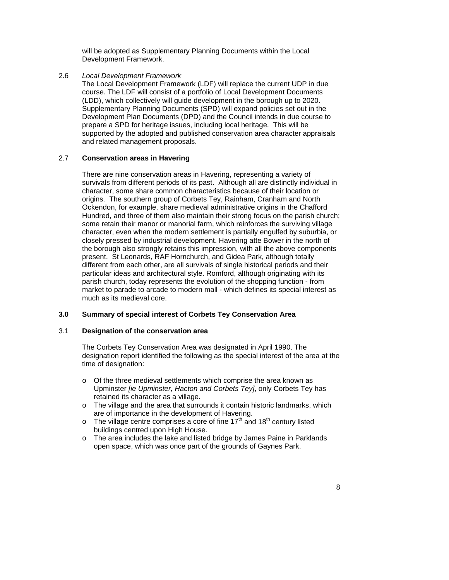will be adopted as Supplementary Planning Documents within the Local Development Framework.

2.6 *Local Development Framework* 

 prepare a SPD for heritage issues, including local heritage. This will be The Local Development Framework (LDF) will replace the current UDP in due course. The LDF will consist of a portfolio of Local Development Documents (LDD), which collectively will guide development in the borough up to 2020. Supplementary Planning Documents (SPD) will expand policies set out in the Development Plan Documents (DPD) and the Council intends in due course to supported by the adopted and published conservation area character appraisals and related management proposals.

#### 2.7 **Conservation areas in Havering**

 survivals from different periods of its past. Although all are distinctly individual in Ockendon, for example, share medieval administrative origins in the Chafford character, even when the modern settlement is partially engulfed by suburbia, or closely pressed by industrial development. Havering atte Bower in the north of different from each other, are all survivals of single historical periods and their There are nine conservation areas in Havering, representing a variety of character, some share common characteristics because of their location or origins. The southern group of Corbets Tey, Rainham, Cranham and North Hundred, and three of them also maintain their strong focus on the parish church; some retain their manor or manorial farm, which reinforces the surviving village the borough also strongly retains this impression, with all the above components present. St Leonards, RAF Hornchurch, and Gidea Park, although totally particular ideas and architectural style. Romford, although originating with its parish church, today represents the evolution of the shopping function - from market to parade to arcade to modern mall - which defines its special interest as much as its medieval core.

#### **3.0 Summary of special interest of Corbets Tey Conservation Area**

#### 3.1 **Designation of the conservation area**

 The Corbets Tey Conservation Area was designated in April 1990. The designation report identified the following as the special interest of the area at the time of designation:

- o Of the three medieval settlements which comprise the area known as Upminster *[ie Upminster, Hacton and Corbets Tey]*, only Corbets Tey has retained its character as a village.
- o The village and the area that surrounds it contain historic landmarks, which are of importance in the development of Havering.
- $\circ$  The village centre comprises a core of fine 17<sup>th</sup> and 18<sup>th</sup> century listed buildings centred upon High House.
- o The area includes the lake and listed bridge by James Paine in Parklands open space, which was once part of the grounds of Gaynes Park.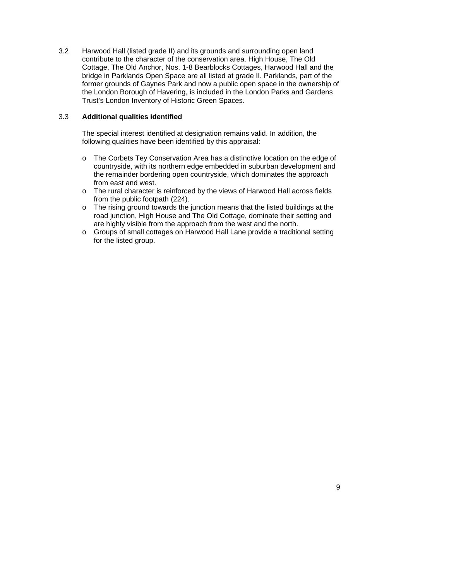3.2 Harwood Hall (listed grade II) and its grounds and surrounding open land Cottage, The Old Anchor, Nos. 1-8 Bearblocks Cottages, Harwood Hall and the bridge in Parklands Open Space are all listed at grade II. Parklands, part of the former grounds of Gaynes Park and now a public open space in the ownership of the London Borough of Havering, is included in the London Parks and Gardens contribute to the character of the conservation area. High House, The Old Trust's London Inventory of Historic Green Spaces.

#### 3.3 **Additional qualities identified**

 following qualities have been identified by this appraisal: The special interest identified at designation remains valid. In addition, the

- o The Corbets Tey Conservation Area has a distinctive location on the edge of from east and west. countryside, with its northern edge embedded in suburban development and the remainder bordering open countryside, which dominates the approach
- from the public footpath (224). o The rural character is reinforced by the views of Harwood Hall across fields
- o The rising ground towards the junction means that the listed buildings at the are highly visible from the approach from the west and the north. road junction, High House and The Old Cottage, dominate their setting and
- $\circ$ Groups of small cottages on Harwood Hall Lane provide a traditional setting for the listed group.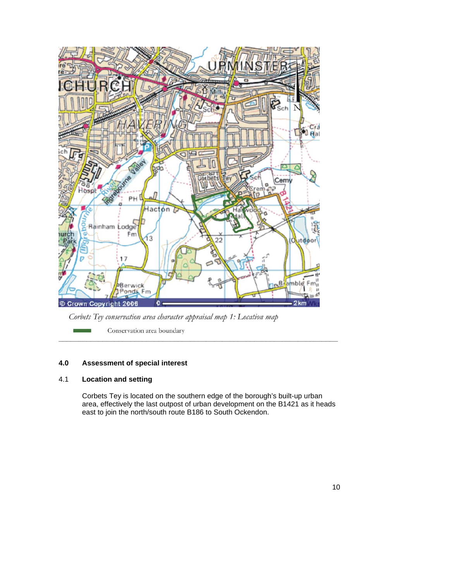

Corbets Tey conservation area character appraisal map 1: Location map

 **\_\_\_\_\_\_\_\_\_\_\_\_\_\_\_\_\_\_\_\_\_\_\_\_\_\_\_\_\_\_\_\_\_\_\_\_\_\_\_\_\_\_\_\_\_\_\_\_\_\_\_\_\_\_\_\_\_\_\_\_\_\_\_\_\_\_\_\_\_\_** 

Conservation area boundary

### **4.0 Assessment of special interest**

### 4.1 **Location and setting**

 Corbets Tey is located on the southern edge of the borough's built-up urban area, effectively the last outpost of urban development on the B1421 as it heads east to join the north/south route B186 to South Ockendon.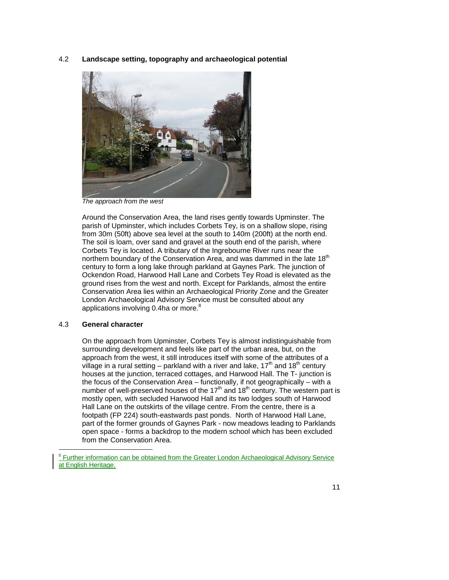4.2 **Landscape setting, topography and archaeological potential** 



*The approach from the west* 

 Around the Conservation Area, the land rises gently towards Upminster. The parish of Upminster, which includes Corbets Tey, is on a shallow slope, rising Ockendon Road, Harwood Hall Lane and Corbets Tey Road is elevated as the ground rises from the west and north. Except for Parklands, almost the entire Conservation Area lies within an Archaeological Priority Zone and the Greater from 30m (50ft) above sea level at the south to 140m (200ft) at the north end. The soil is loam, over sand and gravel at the south end of the parish, where Corbets Tey is located. A tributary of the Ingrebourne River runs near the northern boundary of the Conservation Area, and was dammed in the late 18<sup>th</sup> century to form a long lake through parkland at Gaynes Park. The junction of London Archaeological Advisory Service must be consulted about any applications involving 0.4ha or more.<sup>8</sup>

#### 4.3 **General character**

l

 surrounding development and feels like part of the urban area, but, on the approach from the west, it still introduces itself with some of the attributes of a the focus of the Conservation Area – functionally, if not geographically – with a number of well-preserved houses of the  $17<sup>th</sup>$  and  $18<sup>th</sup>$  century. The western part is On the approach from Upminster, Corbets Tey is almost indistinguishable from village in a rural setting – parkland with a river and lake,  $17<sup>th</sup>$  and  $18<sup>th</sup>$  century houses at the junction, terraced cottages, and Harwood Hall. The T- junction is mostly open, with secluded Harwood Hall and its two lodges south of Harwood Hall Lane on the outskirts of the village centre. From the centre, there is a footpath (FP 224) south-eastwards past ponds. North of Harwood Hall Lane, part of the former grounds of Gaynes Park - now meadows leading to Parklands open space - forms a backdrop to the modern school which has been excluded from the Conservation Area.

<sup>&</sup>lt;sup>8</sup> Further information can be obtained from the Greater London Archaeological Advisory Service at English Heritage.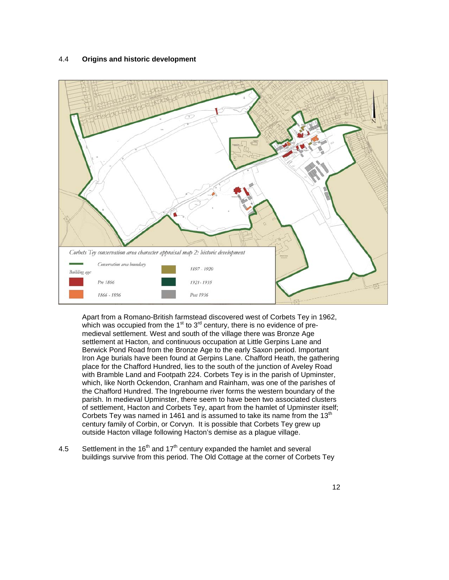#### 4.4 **Origins and historic development**



 Apart from a Romano-British farmstead discovered west of Corbets Tey in 1962, medieval settlement. West and south of the village there was Bronze Age place for the Chafford Hundred, lies to the south of the junction of Aveley Road with Bramble Land and Footpath 224. Corbets Tey is in the parish of Upminster, Corbets Tey was named in 1461 and is assumed to take its name from the  $13<sup>th</sup>$  century family of Corbin, or Corvyn. It is possible that Corbets Tey grew up which was occupied from the  $1<sup>st</sup>$  to  $3<sup>rd</sup>$  century, there is no evidence of presettlement at Hacton, and continuous occupation at Little Gerpins Lane and Berwick Pond Road from the Bronze Age to the early Saxon period. Important Iron Age burials have been found at Gerpins Lane. Chafford Heath, the gathering which, like North Ockendon, Cranham and Rainham, was one of the parishes of the Chafford Hundred. The Ingrebourne river forms the western boundary of the parish. In medieval Upminster, there seem to have been two associated clusters of settlement, Hacton and Corbets Tey, apart from the hamlet of Upminster itself; outside Hacton village following Hacton's demise as a plague village.

4.5 Settlement in the  $16<sup>th</sup>$  and  $17<sup>th</sup>$  century expanded the hamlet and several buildings survive from this period. The Old Cottage at the corner of Corbets Tey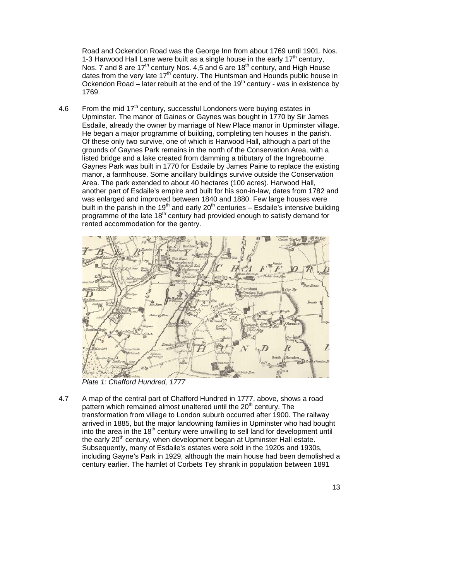Road and Ockendon Road was the George Inn from about 1769 until 1901. Nos. 1-3 Harwood Hall Lane were built as a single house in the early  $17<sup>th</sup>$  century, Nos. 7 and 8 are 17<sup>th</sup> century Nos. 4,5 and 6 are 18<sup>th</sup> century, and High House dates from the very late  $17<sup>th</sup>$  century. The Huntsman and Hounds public house in Ockendon Road – later rebuilt at the end of the  $19<sup>th</sup>$  century - was in existence by 1769.

 Upminster. The manor of Gaines or Gaynes was bought in 1770 by Sir James He began a major programme of building, completing ten houses in the parish. Of these only two survive, one of which is Harwood Hall, although a part of the manor, a farmhouse. Some ancillary buildings survive outside the Conservation built in the parish in the 19<sup>th</sup> and early 20<sup>th</sup> centuries – Esdaile's intensive building 4.6 From the mid  $17<sup>th</sup>$  century, successful Londoners were buying estates in Esdaile, already the owner by marriage of New Place manor in Upminster village. grounds of Gaynes Park remains in the north of the Conservation Area, with a listed bridge and a lake created from damming a tributary of the Ingrebourne. Gaynes Park was built in 1770 for Esdaile by James Paine to replace the existing Area. The park extended to about 40 hectares (100 acres). Harwood Hall, another part of Esdaile's empire and built for his son-in-law, dates from 1782 and was enlarged and improved between 1840 and 1880. Few large houses were programme of the late 18<sup>th</sup> century had provided enough to satisfy demand for rented accommodation for the gentry.



*Plate 1: Chafford Hundred, 1777* 

 4.7 A map of the central part of Chafford Hundred in 1777, above, shows a road into the area in the 18<sup>th</sup> century were unwilling to sell land for development until Subsequently, many of Esdaile's estates were sold in the 1920s and 1930s, including Gayne's Park in 1929, although the main house had been demolished a pattern which remained almost unaltered until the 20<sup>th</sup> century. The transformation from village to London suburb occurred after 1900. The railway arrived in 1885, but the major landowning families in Upminster who had bought the early 20<sup>th</sup> century, when development began at Upminster Hall estate. century earlier. The hamlet of Corbets Tey shrank in population between 1891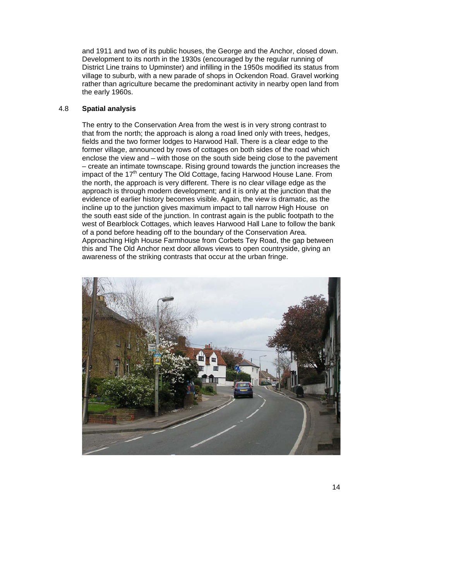and 1911 and two of its public houses, the George and the Anchor, closed down. rather than agriculture became the predominant activity in nearby open land from Development to its north in the 1930s (encouraged by the regular running of District Line trains to Upminster) and infilling in the 1950s modified its status from village to suburb, with a new parade of shops in Ockendon Road. Gravel working the early 1960s.

#### 4.8 **Spatial analysis**

 that from the north; the approach is along a road lined only with trees, hedges, former village, announced by rows of cottages on both sides of the road which enclose the view and – with those on the south side being close to the pavement – create an intimate townscape. Rising ground towards the junction increases the impact of the 17<sup>th</sup> century The Old Cottage, facing Harwood House Lane. From approach is through modern development; and it is only at the junction that the incline up to the junction gives maximum impact to tall narrow High House on the south east side of the junction. In contrast again is the public footpath to the west of Bearblock Cottages, which leaves Harwood Hall Lane to follow the bank this and The Old Anchor next door allows views to open countryside, giving an The entry to the Conservation Area from the west is in very strong contrast to fields and the two former lodges to Harwood Hall. There is a clear edge to the the north, the approach is very different. There is no clear village edge as the evidence of earlier history becomes visible. Again, the view is dramatic, as the of a pond before heading off to the boundary of the Conservation Area. Approaching High House Farmhouse from Corbets Tey Road, the gap between awareness of the striking contrasts that occur at the urban fringe.

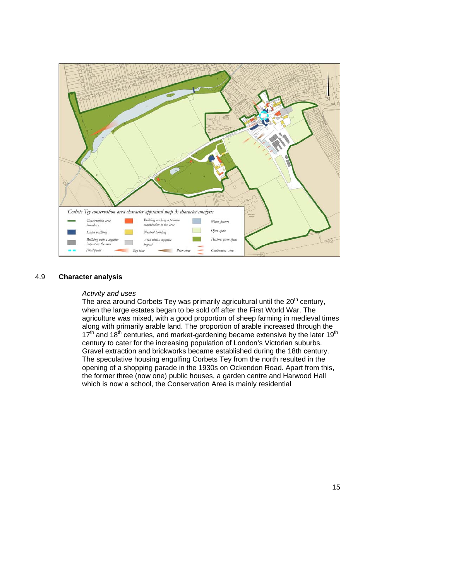

#### 4.9 **Character analysis**

#### *Activity and uses*

 opening of a shopping parade in the 1930s on Ockendon Road. Apart from this, which is now a school, the Conservation Area is mainly residential The area around Corbets Tey was primarily agricultural until the 20<sup>th</sup> century, when the large estates began to be sold off after the First World War. The agriculture was mixed, with a good proportion of sheep farming in medieval times along with primarily arable land. The proportion of arable increased through the  $17<sup>th</sup>$  and  $18<sup>th</sup>$  centuries, and market-gardening became extensive by the later  $19<sup>th</sup>$ century to cater for the increasing population of London's Victorian suburbs. Gravel extraction and brickworks became established during the 18th century. The speculative housing engulfing Corbets Tey from the north resulted in the the former three (now one) public houses, a garden centre and Harwood Hall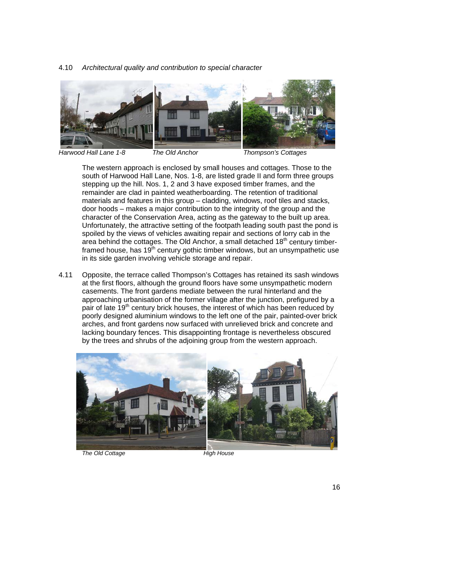#### 4.10 *Architectural quality and contribution to special character*



*Harwood Hall Lane 1-8 The Old Anchor Thompson's Cottages* 

 Unfortunately, the attractive setting of the footpath leading south past the pond is spoiled by the views of vehicles awaiting repair and sections of lorry cab in the The western approach is enclosed by small houses and cottages. Those to the south of Harwood Hall Lane, Nos. 1-8, are listed grade II and form three groups stepping up the hill. Nos. 1, 2 and 3 have exposed timber frames, and the remainder are clad in painted weatherboarding. The retention of traditional materials and features in this group – cladding, windows, roof tiles and stacks, door hoods – makes a major contribution to the integrity of the group and the character of the Conservation Area, acting as the gateway to the built up area. area behind the cottages. The Old Anchor, a small detached  $18<sup>th</sup>$  century timberframed house, has  $19<sup>th</sup>$  century gothic timber windows, but an unsympathetic use in its side garden involving vehicle storage and repair.

 4.11 Opposite, the terrace called Thompson's Cottages has retained its sash windows casements. The front gardens mediate between the rural hinterland and the poorly designed aluminium windows to the left one of the pair, painted-over brick at the first floors, although the ground floors have some unsympathetic modern approaching urbanisation of the former village after the junction, prefigured by a pair of late  $19<sup>th</sup>$  century brick houses, the interest of which has been reduced by arches, and front gardens now surfaced with unrelieved brick and concrete and lacking boundary fences. This disappointing frontage is nevertheless obscured by the trees and shrubs of the adjoining group from the western approach.



**The Old Cottage**  High House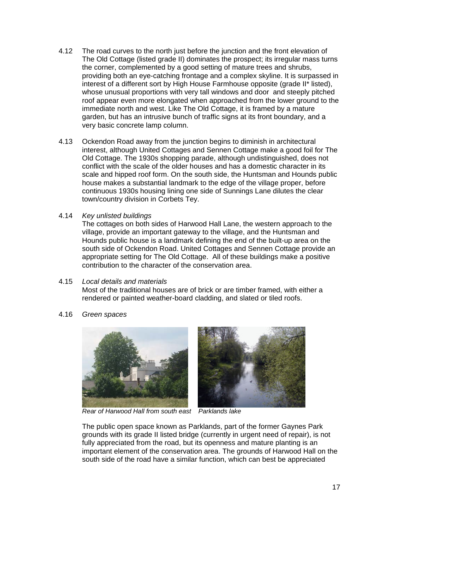- 4 1 2 The Old Cottage (listed grade II) dominates the prospect; its irregular mass turns providing both an eye-catching frontage and a complex skyline. It is surpassed in interest of a different sort by High House Farmhouse opposite (grade II\* listed), whose unusual proportions with very tall windows and door and steeply pitched very basic concrete lamp column. The road curves to the north just before the junction and the front elevation of the corner, complemented by a good setting of mature trees and shrubs, roof appear even more elongated when approached from the lower ground to the immediate north and west. Like The Old Cottage, it is framed by a mature garden, but has an intrusive bunch of traffic signs at its front boundary, and a
- very basic concrete lamp column. 4.13 Ockendon Road away from the junction begins to diminish in architectural interest, although United Cottages and Sennen Cottage make a good foil for The conflict with the scale of the older houses and has a domestic character in its scale and hipped roof form. On the south side, the Huntsman and Hounds public house makes a substantial landmark to the edge of the village proper, before Old Cottage. The 1930s shopping parade, although undistinguished, does not continuous 1930s housing lining one side of Sunnings Lane dilutes the clear town/country division in Corbets Tey.
- 4.14 *Key unlisted buildings*

 Hounds public house is a landmark defining the end of the built-up area on the south side of Ockendon Road. United Cottages and Sennen Cottage provide an appropriate setting for The Old Cottage. All of these buildings make a positive The cottages on both sides of Harwood Hall Lane, the western approach to the village, provide an important gateway to the village, and the Huntsman and contribution to the character of the conservation area.

4.15 *Local details and materials* 

 rendered or painted weather-board cladding, and slated or tiled roofs. Most of the traditional houses are of brick or are timber framed, with either a

4.16 *Green spaces* 



*Rear of Harwood Hall from south east Parklands lake* 

 grounds with its grade II listed bridge (currently in urgent need of repair), is not important element of the conservation area. The grounds of Harwood Hall on the south side of the road have a similar function, which can best be appreciated The public open space known as Parklands, part of the former Gaynes Park fully appreciated from the road, but its openness and mature planting is an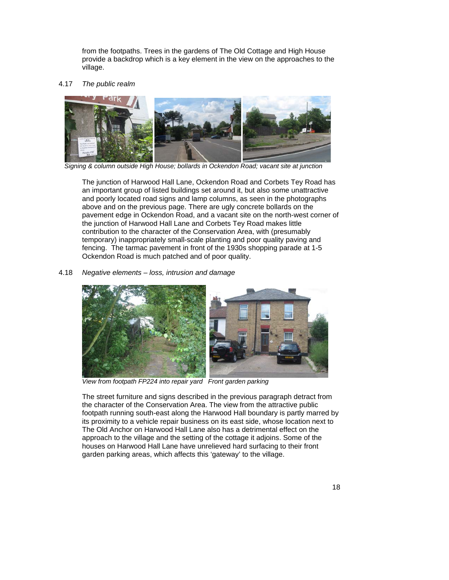from the footpaths. Trees in the gardens of The Old Cottage and High House provide a backdrop which is a key element in the view on the approaches to the village.

#### 4.17 *The public realm*



*Signing & column outside High House; bollards in Ockendon Road; vacant site at junction* 

 and poorly located road signs and lamp columns, as seen in the photographs above and on the previous page. There are ugly concrete bollards on the the junction of Harwood Hall Lane and Corbets Tey Road makes little temporary) inappropriately small-scale planting and poor quality paving and The junction of Harwood Hall Lane, Ockendon Road and Corbets Tey Road has an important group of listed buildings set around it, but also some unattractive pavement edge in Ockendon Road, and a vacant site on the north-west corner of contribution to the character of the Conservation Area, with (presumably fencing. The tarmac pavement in front of the 1930s shopping parade at 1-5 Ockendon Road is much patched and of poor quality.

#### 4.18 *Negative elements – loss, intrusion and damage*



*View from footpath FP224 into repair yard Front garden parking* 

 footpath running south-east along the Harwood Hall boundary is partly marred by its proximity to a vehicle repair business on its east side, whose location next to The Old Anchor on Harwood Hall Lane also has a detrimental effect on the houses on Harwood Hall Lane have unrelieved hard surfacing to their front The street furniture and signs described in the previous paragraph detract from the character of the Conservation Area. The view from the attractive public approach to the village and the setting of the cottage it adjoins. Some of the garden parking areas, which affects this 'gateway' to the village.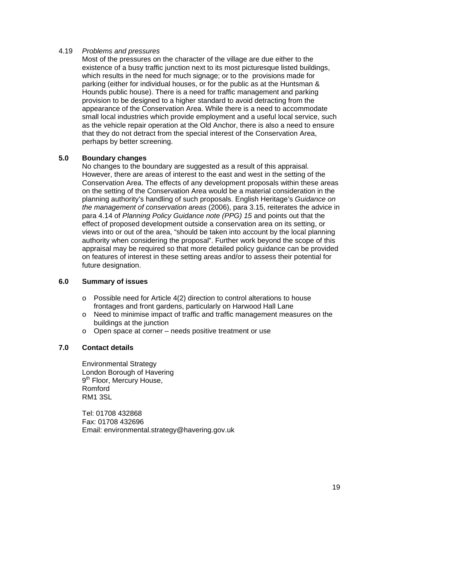#### 4.19 *Problems and pressures*

 existence of a busy traffic junction next to its most picturesque listed buildings, which results in the need for much signage; or to the provisions made for parking (either for individual houses, or for the public as at the Huntsman & Hounds public house). There is a need for traffic management and parking Most of the pressures on the character of the village are due either to the provision to be designed to a higher standard to avoid detracting from the appearance of the Conservation Area. While there is a need to accommodate small local industries which provide employment and a useful local service, such as the vehicle repair operation at the Old Anchor, there is also a need to ensure that they do not detract from the special interest of the Conservation Area, perhaps by better screening.

#### **5.0 Boundary changes**

 No changes to the boundary are suggested as a result of this appraisal. Conservation Area. The effects of any development proposals within these areas *the management of conservation areas* (2006), para 3.15, reiterates the advice in para 4.14 of *Planning Policy Guidance note (PPG) 15* and points out that the authority when considering the proposal". Further work beyond the scope of this appraisal may be required so that more detailed policy guidance can be provided However, there are areas of interest to the east and west in the setting of the on the setting of the Conservation Area would be a material consideration in the planning authority's handling of such proposals. English Heritage's *Guidance on*  effect of proposed development outside a conservation area on its setting, or views into or out of the area, "should be taken into account by the local planning on features of interest in these setting areas and/or to assess their potential for future designation.

#### **6.0 Summary of issues**

- o Possible need for Article 4(2) direction to control alterations to house frontages and front gardens, particularly on Harwood Hall Lane
- o Need to minimise impact of traffic and traffic management measures on the buildings at the junction
- $\Omega$ Open space at corner – needs positive treatment or use

### **7.0 Contact details**

Environmental Strategy London Borough of Havering 9<sup>th</sup> Floor, Mercury House, Romford RM1 3SL

Tel: 01708 432868 Fax: 01708 432696 Email: environmental.strategy@havering.gov.uk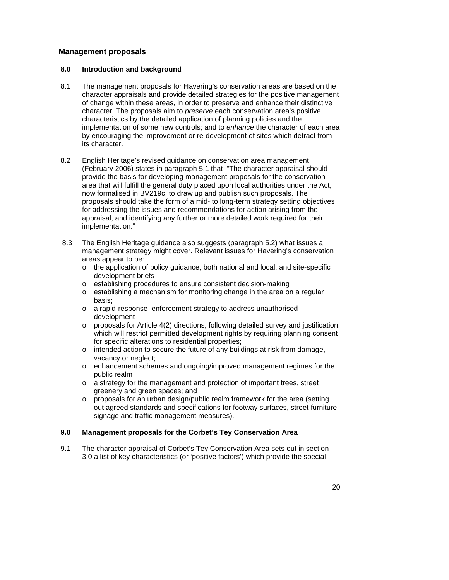### **Management proposals**

### **8.0 Introduction and background**

- its character. 8.1 The management proposals for Havering's conservation areas are based on the character appraisals and provide detailed strategies for the positive management of change within these areas, in order to preserve and enhance their distinctive character. The proposals aim to *preserve* each conservation area's positive characteristics by the detailed application of planning policies and the implementation of some new controls; and to *enhance* the character of each area by encouraging the improvement or re-development of sites which detract from
- 8.2 English Heritage's revised guidance on conservation area management proposals should take the form of a mid- to long-term strategy setting objectives for addressing the issues and recommendations for action arising from the (February 2006) states in paragraph 5.1 that "The character appraisal should provide the basis for developing management proposals for the conservation area that will fulfill the general duty placed upon local authorities under the Act, now formalised in BV219c, to draw up and publish such proposals. The appraisal, and identifying any further or more detailed work required for their implementation."
- 8.3 The English Heritage guidance also suggests (paragraph 5.2) what issues a management strategy might cover. Relevant issues for Havering's conservation areas appear to be:
	- development briefs  $\circ$  the application of policy quidance, both national and local, and site-specific
	- o establishing procedures to ensure consistent decision-making
	- basis;  $\circ$  establishing a mechanism for monitoring change in the area on a regular
	- o a rapid-response enforcement strategy to address unauthorised development
	- $\circ$  proposals for Article 4(2) directions, following detailed survey and justification, which will restrict permitted development rights by requiring planning consent for specific alterations to residential properties;
	- o intended action to secure the future of any buildings at risk from damage, vacancy or neglect;
	- o enhancement schemes and ongoing/improved management regimes for the public realm
	- $\circ$  a strategy for the management and protection of important trees, street greenery and green spaces; and
	- o proposals for an urban design/public realm framework for the area (setting out agreed standards and specifications for footway surfaces, street furniture, signage and traffic management measures).

#### **9.0 9.0 Management proposals for the Corbet's Tey Conservation Area**

 9.1 The character appraisal of Corbet's Tey Conservation Area sets out in section 3.0 a list of key characteristics (or 'positive factors') which provide the special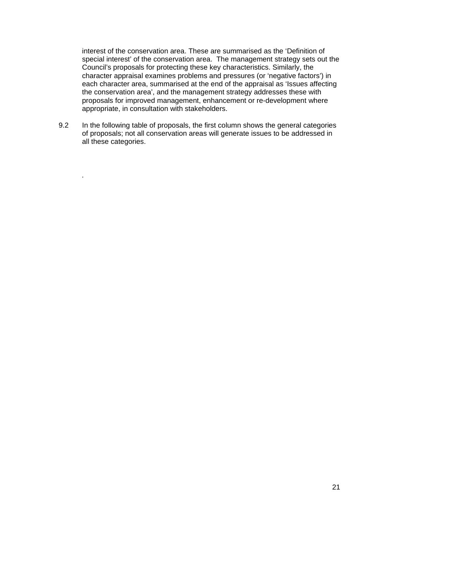Council's proposals for protecting these key characteristics. Similarly, the the conservation area', and the management strategy addresses these with interest of the conservation area. These are summarised as the 'Definition of special interest' of the conservation area. The management strategy sets out the character appraisal examines problems and pressures (or 'negative factors') in each character area, summarised at the end of the appraisal as 'Issues affecting proposals for improved management, enhancement or re-development where appropriate, in consultation with stakeholders.

 of proposals; not all conservation areas will generate issues to be addressed in 9.2 In the following table of proposals, the first column shows the general categories all these categories.

*.*